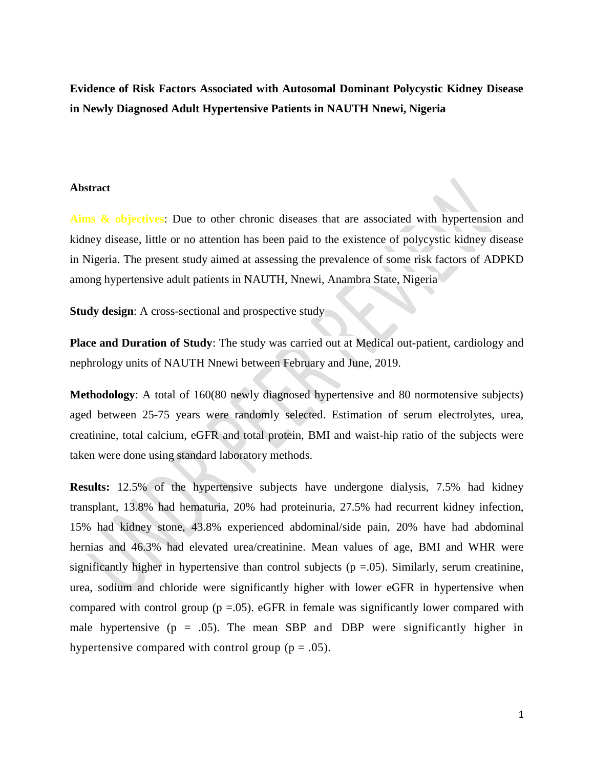**Evidence of Risk Factors Associated with Autosomal Dominant Polycystic Kidney Disease in Newly Diagnosed Adult Hypertensive Patients in NAUTH Nnewi, Nigeria**

#### **Abstract**

Aims & objectives: Due to other chronic diseases that are associated with hypertension and kidney disease, little or no attention has been paid to the existence of polycystic kidney disease in Nigeria. The present study aimed at assessing the prevalence of some risk factors of ADPKD among hypertensive adult patients in NAUTH, Nnewi, Anambra State, Nigeria

**Study design:** A cross-sectional and prospective study

**Place and Duration of Study**: The study was carried out at Medical out-patient, cardiology and nephrology units of NAUTH Nnewi between February and June, 2019.

**Methodology**: A total of 160(80 newly diagnosed hypertensive and 80 normotensive subjects) aged between 25-75 years were randomly selected. Estimation of serum electrolytes, urea, creatinine, total calcium, eGFR and total protein, BMI and waist-hip ratio of the subjects were taken were done using standard laboratory methods.

**Results:** 12.5% of the hypertensive subjects have undergone dialysis, 7.5% had kidney transplant, 13.8% had hematuria, 20% had proteinuria, 27.5% had recurrent kidney infection, 15% had kidney stone, 43.8% experienced abdominal/side pain, 20% have had abdominal hernias and 46.3% had elevated urea/creatinine. Mean values of age, BMI and WHR were significantly higher in hypertensive than control subjects ( $p = .05$ ). Similarly, serum creatinine, urea, sodium and chloride were significantly higher with lower eGFR in hypertensive when compared with control group ( $p = 0.05$ ). eGFR in female was significantly lower compared with male hypertensive ( $p = .05$ ). The mean SBP and DBP were significantly higher in hypertensive compared with control group ( $p = .05$ ).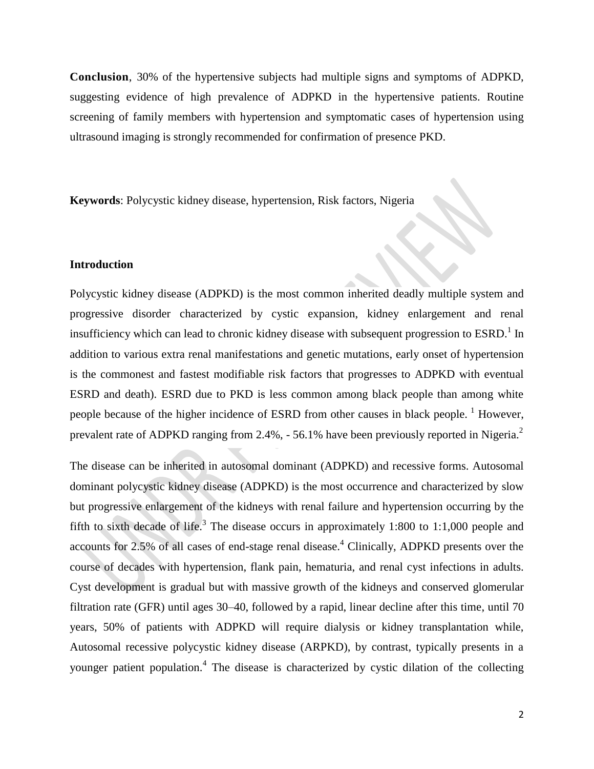**Conclusion**, 30% of the hypertensive subjects had multiple signs and symptoms of ADPKD, suggesting evidence of high prevalence of ADPKD in the hypertensive patients. Routine screening of family members with hypertension and symptomatic cases of hypertension using ultrasound imaging is strongly recommended for confirmation of presence PKD.

**Keywords**: Polycystic kidney disease, hypertension, Risk factors, Nigeria

#### **Introduction**

Polycystic kidney disease (ADPKD) is the most common inherited deadly multiple system and progressive disorder characterized by cystic expansion, kidney enlargement and renal insufficiency which can lead to chronic kidney disease with subsequent progression to  $ESRD$ .<sup>1</sup> In addition to various extra renal manifestations and genetic mutations, early onset of hypertension is the commonest and fastest modifiable risk factors that progresses to ADPKD with eventual ESRD and death). ESRD due to PKD is less common among black people than among white people because of the higher incidence of ESRD from other causes in black people.<sup>1</sup> However, prevalent rate of ADPKD ranging from 2.4%,  $-56.1\%$  have been previously reported in Nigeria.<sup>2</sup>

The disease can be inherited in autosomal dominant (ADPKD) and recessive forms. Autosomal dominant polycystic kidney disease (ADPKD) is the most occurrence and characterized by slow but progressive enlargement of the kidneys with renal failure and hypertension occurring by the fifth to sixth decade of life.<sup>3</sup> The disease occurs in approximately 1:800 to 1:1,000 people and accounts for 2.5% of all cases of end-stage renal disease.<sup>4</sup> Clinically, ADPKD presents over the course of decades with hypertension, flank pain, hematuria, and renal cyst infections in adults. Cyst development is gradual but with massive growth of the kidneys and conserved glomerular filtration rate (GFR) until ages 30–40, followed by a rapid, linear decline after this time, until 70 years, 50% of patients with ADPKD will require dialysis or kidney transplantation while, Autosomal recessive polycystic kidney disease (ARPKD), by contrast, typically presents in a younger patient population.<sup>4</sup> The disease is characterized by cystic dilation of the collecting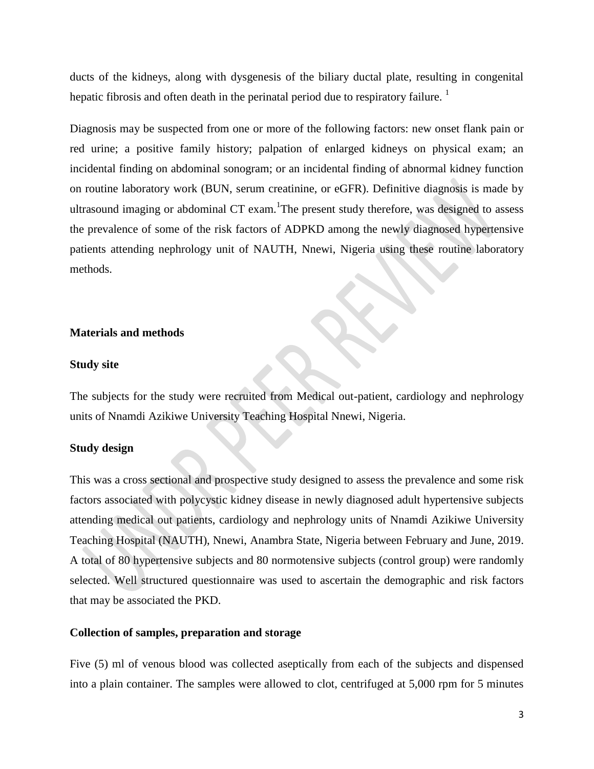ducts of the kidneys, along with dysgenesis of the biliary ductal plate, resulting in congenital hepatic fibrosis and often death in the perinatal period due to respiratory failure.<sup>1</sup>

Diagnosis may be suspected from one or more of the following factors: new onset flank pain or red urine; a positive family history; palpation of enlarged kidneys on physical exam; an incidental finding on abdominal sonogram; or an incidental finding of abnormal kidney function on routine laboratory work (BUN, serum creatinine, or eGFR). Definitive diagnosis is made by ultrasound imaging or abdominal CT exam.<sup>1</sup>The present study therefore, was designed to assess the prevalence of some of the risk factors of ADPKD among the newly diagnosed hypertensive patients attending nephrology unit of NAUTH, Nnewi, Nigeria using these routine laboratory methods.

#### **Materials and methods**

#### **Study site**

The subjects for the study were recruited from Medical out-patient, cardiology and nephrology units of Nnamdi Azikiwe University Teaching Hospital Nnewi, Nigeria.

#### **Study design**

This was a cross sectional and prospective study designed to assess the prevalence and some risk factors associated with polycystic kidney disease in newly diagnosed adult hypertensive subjects attending medical out patients, cardiology and nephrology units of Nnamdi Azikiwe University Teaching Hospital (NAUTH), Nnewi, Anambra State, Nigeria between February and June, 2019. A total of 80 hypertensive subjects and 80 normotensive subjects (control group) were randomly selected. Well structured questionnaire was used to ascertain the demographic and risk factors that may be associated the PKD.

#### **Collection of samples, preparation and storage**

Five (5) ml of venous blood was collected aseptically from each of the subjects and dispensed into a plain container. The samples were allowed to clot, centrifuged at 5,000 rpm for 5 minutes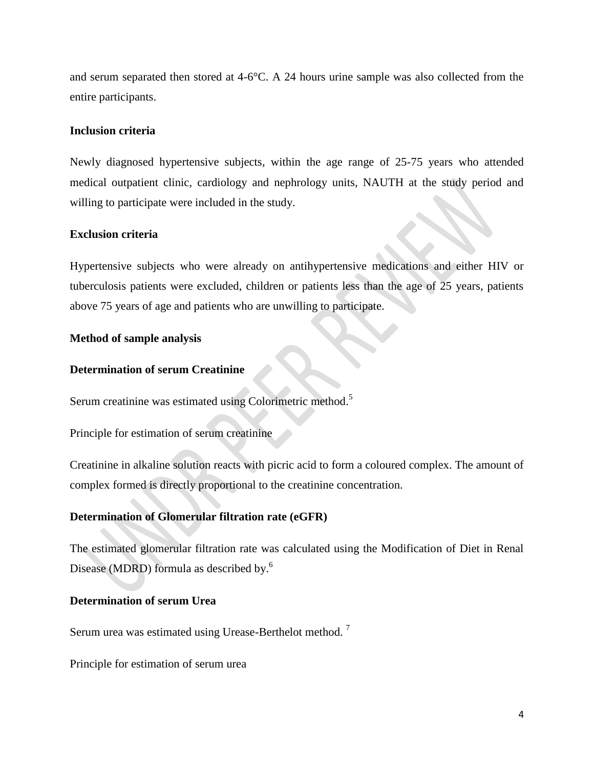and serum separated then stored at 4-6°C. A 24 hours urine sample was also collected from the entire participants.

#### **Inclusion criteria**

Newly diagnosed hypertensive subjects, within the age range of 25-75 years who attended medical outpatient clinic, cardiology and nephrology units, NAUTH at the study period and willing to participate were included in the study.

### **Exclusion criteria**

Hypertensive subjects who were already on antihypertensive medications and either HIV or tuberculosis patients were excluded, children or patients less than the age of 25 years, patients above 75 years of age and patients who are unwilling to participate.

#### **Method of sample analysis**

## **Determination of serum Creatinine**

Serum creatinine was estimated using Colorimetric method.<sup>5</sup>

Principle for estimation of serum creatinine

Creatinine in alkaline solution reacts with picric acid to form a coloured complex. The amount of complex formed is directly proportional to the creatinine concentration.

# **Determination of Glomerular filtration rate (eGFR)**

The estimated glomerular filtration rate was calculated using the Modification of Diet in Renal Disease (MDRD) formula as described by.<sup>6</sup>

### **Determination of serum Urea**

Serum urea was estimated using Urease-Berthelot method.<sup>7</sup>

Principle for estimation of serum urea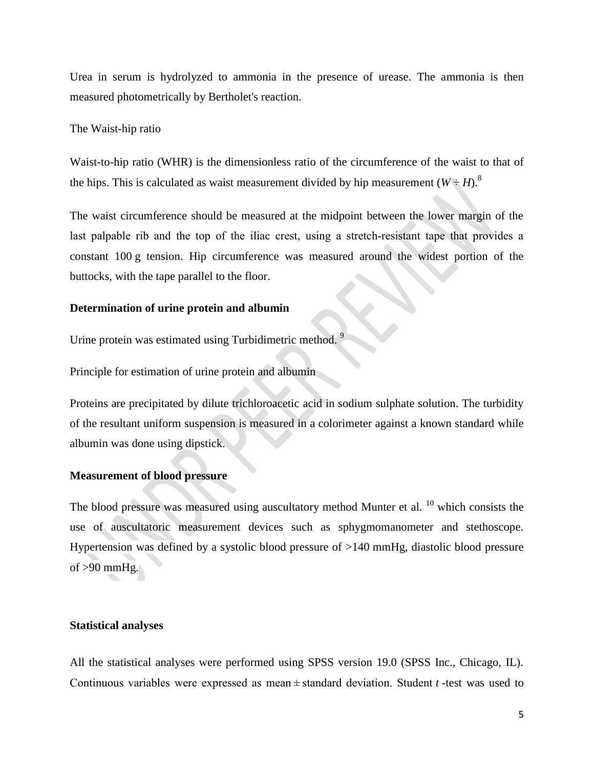Urea in serum is hydrolyzed to ammonia in the presence of urease. The ammonia is then measured photometrically by Bertholet's reaction.

#### The Waist-hip ratio

Waist-to-hip ratio (WHR) is the dimensionless ratio of the circumference of the waist to that of the hips. This is calculated as waist measurement divided by hip measurement ( $W \div H$ ).<sup>8</sup>

The waist circumference should be measured at the midpoint between the lower margin of the last palpable rib and the top of the iliac crest, using a stretch-resistant tape that provides a constant 100 g tension. Hip circumference was measured around the widest portion of the buttocks, with the tape parallel to the floor.

#### **Determination of urine protein and albumin**

Urine protein was estimated using Turbidimetric method.<sup>9</sup>

Principle for estimation of urine protein and albumin

Proteins are precipitated by dilute trichloroacetic acid in sodium sulphate solution. The turbidity of the resultant uniform suspension is measured in a colorimeter against a known standard while albumin was done using dipstick.

#### **Measurement of blood pressure**

The blood pressure was measured using auscultatory method Munter et al. <sup>10</sup> which consists the use of auscultatoric measurement devices such as sphygmomanometer and stethoscope. Hypertension was defined by a systolic blood pressure of >140 mmHg, diastolic blood pressure of  $>90$  mmHg.

### **Statistical analyses**

All the statistical analyses were performed using SPSS version 19.0 (SPSS Inc., Chicago, IL). Continuous variables were expressed as mean ± standard deviation. Student *t* -test was used to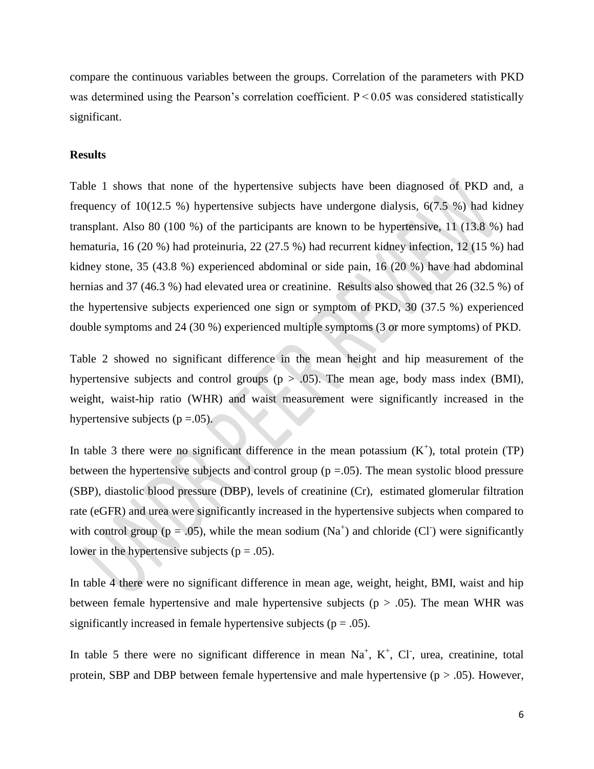compare the continuous variables between the groups. Correlation of the parameters with PKD was determined using the Pearson's correlation coefficient.  $P \le 0.05$  was considered statistically significant.

### **Results**

Table 1 shows that none of the hypertensive subjects have been diagnosed of PKD and, a frequency of 10(12.5 %) hypertensive subjects have undergone dialysis, 6(7.5 %) had kidney transplant. Also 80 (100 %) of the participants are known to be hypertensive, 11 (13.8 %) had hematuria, 16 (20 %) had proteinuria, 22 (27.5 %) had recurrent kidney infection, 12 (15 %) had kidney stone, 35 (43.8 %) experienced abdominal or side pain, 16 (20 %) have had abdominal hernias and 37 (46.3 %) had elevated urea or creatinine. Results also showed that 26 (32.5 %) of the hypertensive subjects experienced one sign or symptom of PKD, 30 (37.5 %) experienced double symptoms and 24 (30 %) experienced multiple symptoms (3 or more symptoms) of PKD.

Table 2 showed no significant difference in the mean height and hip measurement of the hypertensive subjects and control groups ( $p > .05$ ). The mean age, body mass index (BMI), weight, waist-hip ratio (WHR) and waist measurement were significantly increased in the hypertensive subjects ( $p = .05$ ).

In table 3 there were no significant difference in the mean potassium  $(K^+)$ , total protein (TP) between the hypertensive subjects and control group  $(p = .05)$ . The mean systolic blood pressure (SBP), diastolic blood pressure (DBP), levels of creatinine (Cr), estimated glomerular filtration rate (eGFR) and urea were significantly increased in the hypertensive subjects when compared to with control group ( $p = .05$ ), while the mean sodium (Na<sup>+</sup>) and chloride (Cl<sup>-</sup>) were significantly lower in the hypertensive subjects ( $p = .05$ ).

In table 4 there were no significant difference in mean age, weight, height, BMI, waist and hip between female hypertensive and male hypertensive subjects ( $p > .05$ ). The mean WHR was significantly increased in female hypertensive subjects ( $p = .05$ ).

In table 5 there were no significant difference in mean  $Na<sup>+</sup>$ ,  $K<sup>+</sup>$ , Cl, urea, creatinine, total protein, SBP and DBP between female hypertensive and male hypertensive  $(p > .05)$ . However,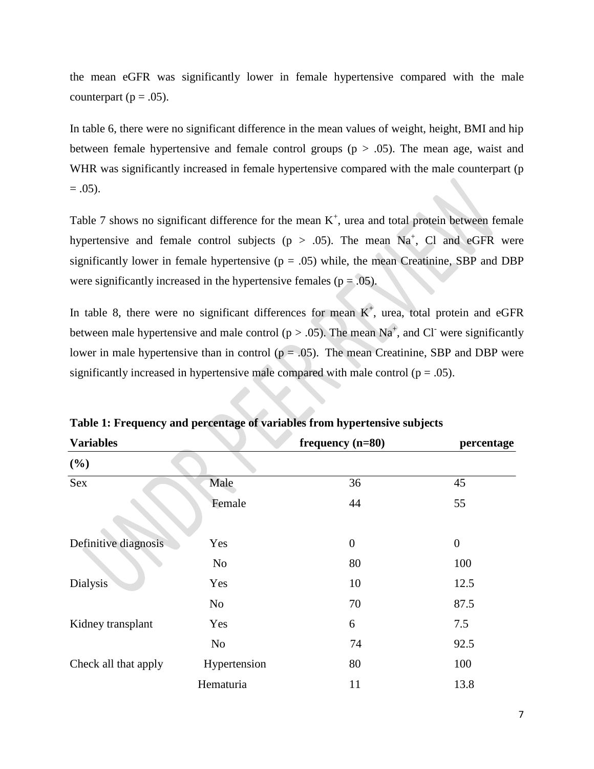the mean eGFR was significantly lower in female hypertensive compared with the male counterpart ( $p = .05$ ).

In table 6, there were no significant difference in the mean values of weight, height, BMI and hip between female hypertensive and female control groups ( $p > .05$ ). The mean age, waist and WHR was significantly increased in female hypertensive compared with the male counterpart (p  $= .05$ ).

Table 7 shows no significant difference for the mean  $K^+$ , urea and total protein between female hypertensive and female control subjects ( $p > .05$ ). The mean Na<sup>+</sup>, Cl and eGFR were significantly lower in female hypertensive  $(p = .05)$  while, the mean Creatinine, SBP and DBP were significantly increased in the hypertensive females ( $p = .05$ ).

In table 8, there were no significant differences for mean  $K^+$ , urea, total protein and eGFR between male hypertensive and male control ( $p > .05$ ). The mean Na<sup>+</sup>, and Cl<sup>-</sup> were significantly lower in male hypertensive than in control ( $p = .05$ ). The mean Creatinine, SBP and DBP were significantly increased in hypertensive male compared with male control ( $p = .05$ ).

| <b>Variables</b>     |                | frequency $(n=80)$ | percentage       |
|----------------------|----------------|--------------------|------------------|
| (%)                  |                |                    |                  |
| <b>Sex</b>           | Male           | 36                 | 45               |
|                      | Female         | 44                 | 55               |
| Definitive diagnosis | Yes            | $\overline{0}$     | $\boldsymbol{0}$ |
|                      | No             | 80                 | 100              |
| <b>Dialysis</b>      | Yes            | 10                 | 12.5             |
|                      | N <sub>o</sub> | 70                 | 87.5             |
| Kidney transplant    | Yes            | 6                  | 7.5              |
|                      | No             | 74                 | 92.5             |
| Check all that apply | Hypertension   | 80                 | 100              |
|                      | Hematuria      | 11                 | 13.8             |

**Table 1: Frequency and percentage of variables from hypertensive subjects**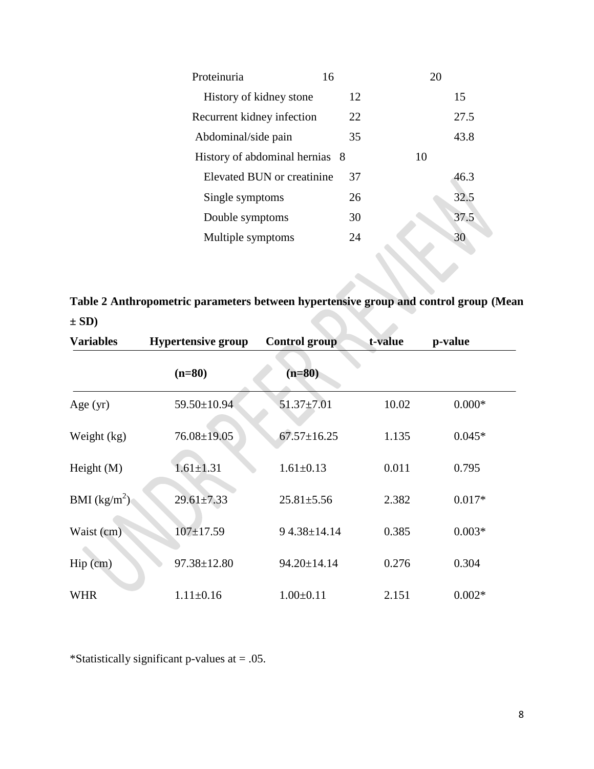| Proteinuria                    | 16 | 20   |
|--------------------------------|----|------|
| History of kidney stone        | 12 | 15   |
| Recurrent kidney infection     | 22 | 27.5 |
| Abdominal/side pain            | 35 | 43.8 |
| History of abdominal hernias 8 |    | 10   |
| Elevated BUN or creatinine     | 37 | 46.3 |
| Single symptoms                | 26 | 32.5 |
| Double symptoms                | 30 | 37.5 |
| Multiple symptoms              | 24 | 30   |
|                                |    |      |

**Table 2 Anthropometric parameters between hypertensive group and control group (Mean ± SD)** 

| <b>Variables</b> | <b>Hypertensive group</b> | <b>Control group</b> | t-value | p-value  |  |
|------------------|---------------------------|----------------------|---------|----------|--|
|                  | $(n=80)$                  | $(n=80)$             |         |          |  |
| Age $(yr)$       | 59.50±10.94               | $51.37 \pm 7.01$     | 10.02   | $0.000*$ |  |
| Weight (kg)      | $76.08 \pm 19.05$         | $67.57 \pm 16.25$    | 1.135   | $0.045*$ |  |
| Height $(M)$     | $1.61 \pm 1.31$           | $1.61 \pm 0.13$      | 0.011   | 0.795    |  |
| BMI $(kg/m^2)$   | $29.61 \pm 7.33$          | $25.81 \pm 5.56$     | 2.382   | $0.017*$ |  |
| Waist (cm)       | $107 \pm 17.59$           | $94.38 \pm 14.14$    | 0.385   | $0.003*$ |  |
| $Hip$ (cm)       | $97.38 \pm 12.80$         | 94.20±14.14          | 0.276   | 0.304    |  |
| <b>WHR</b>       | $1.11 \pm 0.16$           | $1.00 \pm 0.11$      | 2.151   | $0.002*$ |  |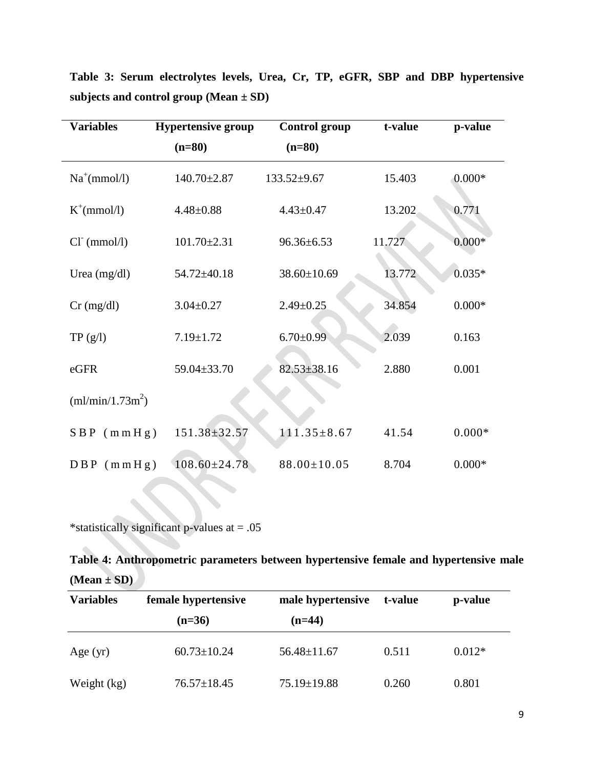| <b>Variables</b>   | <b>Hypertensive group</b><br>$(n=80)$ | <b>Control group</b><br>$(n=80)$ | t-value | p-value  |
|--------------------|---------------------------------------|----------------------------------|---------|----------|
| $Na^+(mmol/l)$     | $140.70 \pm 2.87$                     | $133.52 \pm 9.67$                | 15.403  | $0.000*$ |
| $K^+$ (mmol/l)     | $4.48 \pm 0.88$                       | $4.43 \pm 0.47$                  | 13.202  | 0.771    |
| $Cl-$ (mmol/l)     | $101.70 \pm 2.31$                     | $96.36 \pm 6.53$                 | 11.727  | $0.000*$ |
| Urea $(mg/dl)$     | $54.72 \pm 40.18$                     | 38.60±10.69                      | 13.772  | $0.035*$ |
| $Cr$ (mg/dl)       | $3.04 \pm 0.27$                       | $2.49 \pm 0.25$                  | 34.854  | $0.000*$ |
| TP(g/l)            | $7.19 \pm 1.72$                       | $6.70 \pm 0.99$                  | 2.039   | 0.163    |
| eGFR               | 59.04±33.70                           | $82.53 \pm 38.16$                | 2.880   | 0.001    |
| $(ml/min/1.73m^2)$ |                                       |                                  |         |          |
| $SBP$ (mmHg)       | $151.38 \pm 32.57$                    | $111.35 \pm 8.67$                | 41.54   | $0.000*$ |
| $DBP$ (mmHg)       | $108.60 \pm 24.78$                    | $88.00 \pm 10.05$                | 8.704   | $0.000*$ |

**Table 3: Serum electrolytes levels, Urea, Cr, TP, eGFR, SBP and DBP hypertensive subjects and control group (Mean ± SD)**

**Table 4: Anthropometric parameters between hypertensive female and hypertensive male (Mean ± SD)**

| <b>Variables</b> | female hypertensive | male hypertensive | t-value | p-value  |
|------------------|---------------------|-------------------|---------|----------|
|                  | $(n=36)$            | $(n=44)$          |         |          |
| Age $(yr)$       | $60.73 \pm 10.24$   | $56.48 \pm 11.67$ | 0.511   | $0.012*$ |
| Weight (kg)      | $76.57 \pm 18.45$   | $75.19 \pm 19.88$ | 0.260   | 0.801    |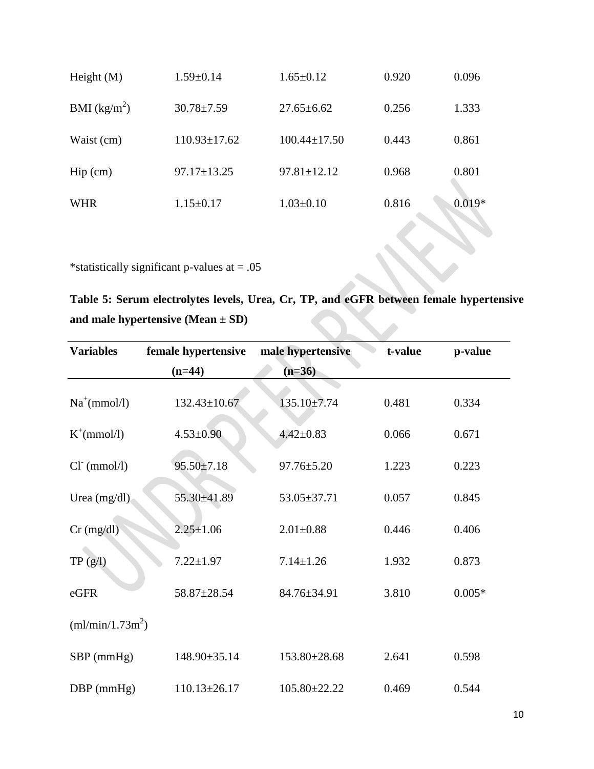| Height $(M)$                       | $1.59 \pm 0.14$    | $1.65 \pm 0.12$    | 0.920 | 0.096    |
|------------------------------------|--------------------|--------------------|-------|----------|
| BMI $(kg/m^2)$                     | $30.78 \pm 7.59$   | $27.65 \pm 6.62$   | 0.256 | 1.333    |
| Waist (cm)                         | $110.93 \pm 17.62$ | $100.44 \pm 17.50$ | 0.443 | 0.861    |
| $\text{Hip}\left(\text{cm}\right)$ | $97.17 \pm 13.25$  | $97.81 \pm 12.12$  | 0.968 | 0.801    |
| <b>WHR</b>                         | $1.15 \pm 0.17$    | $1.03 \pm 0.10$    | 0.816 | $0.019*$ |

**Table 5: Serum electrolytes levels, Urea, Cr, TP, and eGFR between female hypertensive and male hypertensive (Mean ± SD)**

| <b>Variables</b>   | female hypertensive | male hypertensive | t-value | p-value  |
|--------------------|---------------------|-------------------|---------|----------|
|                    | $(n=44)$            | $(n=36)$          |         |          |
| $Na^+(mmol/l)$     | $132.43 \pm 10.67$  | $135.10\pm7.74$   | 0.481   | 0.334    |
| $K^+$ (mmol/l)     | $4.53 \pm 0.90$     | $4.42 \pm 0.83$   | 0.066   | 0.671    |
| $Cl-$ (mmol/l)     | $95.50 \pm 7.18$    | $97.76 \pm 5.20$  | 1.223   | 0.223    |
| Urea (mg/dl)       | 55.30±41.89         | 53.05±37.71       | 0.057   | 0.845    |
| $Cr$ (mg/dl)       | $2.25 \pm 1.06$     | $2.01 \pm 0.88$   | 0.446   | 0.406    |
| TP( g/ l )         | $7.22 \pm 1.97$     | $7.14 \pm 1.26$   | 1.932   | 0.873    |
| eGFR               | 58.87±28.54         | 84.76±34.91       | 3.810   | $0.005*$ |
| $(ml/min/1.73m^2)$ |                     |                   |         |          |
| $SBP$ (mmHg)       | 148.90±35.14        | 153.80±28.68      | 2.641   | 0.598    |
| $DBP$ (mmHg)       | $110.13 \pm 26.17$  | 105.80±22.22      | 0.469   | 0.544    |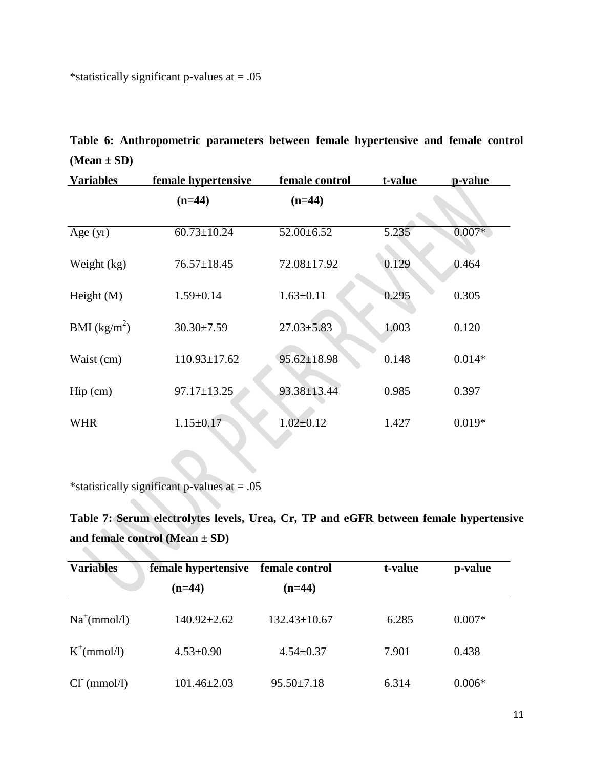|                 | Table 6: Anthropometric parameters between female hypertensive and female control |  |  |  |  |
|-----------------|-----------------------------------------------------------------------------------|--|--|--|--|
| $(Mean \pm SD)$ |                                                                                   |  |  |  |  |

| <b>Variables</b>                   | female hypertensive | female control   | t-value | <b>p</b> -value |
|------------------------------------|---------------------|------------------|---------|-----------------|
|                                    | $(n=44)$            | $(n=44)$         |         |                 |
| Age $(yr)$                         | $60.73 \pm 10.24$   | $52.00 \pm 6.52$ | 5.235   | $0.007*$        |
| Weight (kg)                        | $76.57 \pm 18.45$   | 72.08±17.92      | 0.129   | 0.464           |
| Height $(M)$                       | $1.59 \pm 0.14$     | $1.63 \pm 0.11$  | 0.295   | 0.305           |
| BMI $(kg/m^2)$                     | $30.30 \pm 7.59$    | $27.03 \pm 5.83$ | 1.003   | 0.120           |
| Waist (cm)                         | $110.93 \pm 17.62$  | 95.62±18.98      | 0.148   | $0.014*$        |
| $\text{Hip}\left(\text{cm}\right)$ | $97.17 \pm 13.25$   | 93.38±13.44      | 0.985   | 0.397           |
| <b>WHR</b>                         | $1.15 \pm 0.17$     | $1.02 \pm 0.12$  | 1.427   | $0.019*$        |

 $\mathbb{R}^n$ 

**Table 7: Serum electrolytes levels, Urea, Cr, TP and eGFR between female hypertensive and female control (Mean ± SD)**  $\mathbf{C}$ 

| <b>Variables</b>   | female hypertensive | female control     | t-value | p-value  |
|--------------------|---------------------|--------------------|---------|----------|
|                    | $(n=44)$            | $(n=44)$           |         |          |
| $Na^+(mmol/l)$     | $140.92 \pm 2.62$   | $132.43 \pm 10.67$ | 6.285   | $0.007*$ |
| $K^+$ (mmol/l)     | $4.53 \pm 0.90$     | $4.54 \pm 0.37$    | 7.901   | 0.438    |
| $Cl^-$<br>(mmol/l) | $101.46 \pm 2.03$   | $95.50 \pm 7.18$   | 6.314   | $0.006*$ |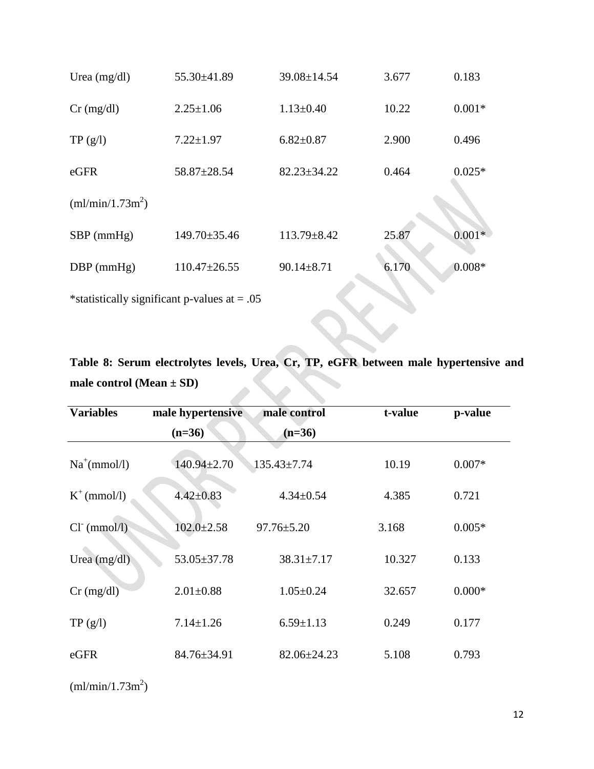| Urea $(mg/dl)$     | 55.30±41.89        | 39.08±14.54       | 3.677 | 0.183    |
|--------------------|--------------------|-------------------|-------|----------|
| $Cr$ (mg/dl)       | $2.25 \pm 1.06$    | $1.13 \pm 0.40$   | 10.22 | $0.001*$ |
| TP(g/l)            | $7.22 \pm 1.97$    | $6.82 \pm 0.87$   | 2.900 | 0.496    |
| $e$ GFR            | 58.87±28.54        | $82.23 \pm 34.22$ | 0.464 | $0.025*$ |
| $(ml/min/1.73m^2)$ |                    |                   |       |          |
| $SBP$ (mmHg)       | 149.70±35.46       | 113.79±8.42       | 25.87 | $0.001*$ |
| $DBP$ (mmHg)       | $110.47 \pm 26.55$ | $90.14 \pm 8.71$  | 6.170 | $0.008*$ |

**Table 8: Serum electrolytes levels, Urea, Cr, TP, eGFR between male hypertensive and male control (Mean ± SD)**

| <b>Variables</b> | male hypertensive | male control      | t-value | p-value  |
|------------------|-------------------|-------------------|---------|----------|
|                  | $(n=36)$          | $(n=36)$          |         |          |
| $Na^+(mmol/l)$   | $140.94 \pm 2.70$ | $135.43 \pm 7.74$ | 10.19   | $0.007*$ |
| $K^+$ (mmol/l)   | $4.42 \pm 0.83$   | $4.34 \pm 0.54$   | 4.385   | 0.721    |
| $Cl-$ (mmol/l)   | $102.0 \pm 2.58$  | $97.76 \pm 5.20$  | 3.168   | $0.005*$ |
| Urea $(mg/dl)$   | 53.05±37.78       | $38.31 \pm 7.17$  | 10.327  | 0.133    |
| $Cr$ (mg/dl)     | $2.01 \pm 0.88$   | $1.05 \pm 0.24$   | 32.657  | $0.000*$ |
| TP(g/l)          | $7.14 \pm 1.26$   | $6.59 \pm 1.13$   | 0.249   | 0.177    |
| eGFR             | 84.76±34.91       | $82.06 \pm 24.23$ | 5.108   | 0.793    |

 $(ml/min/1.73m^2)$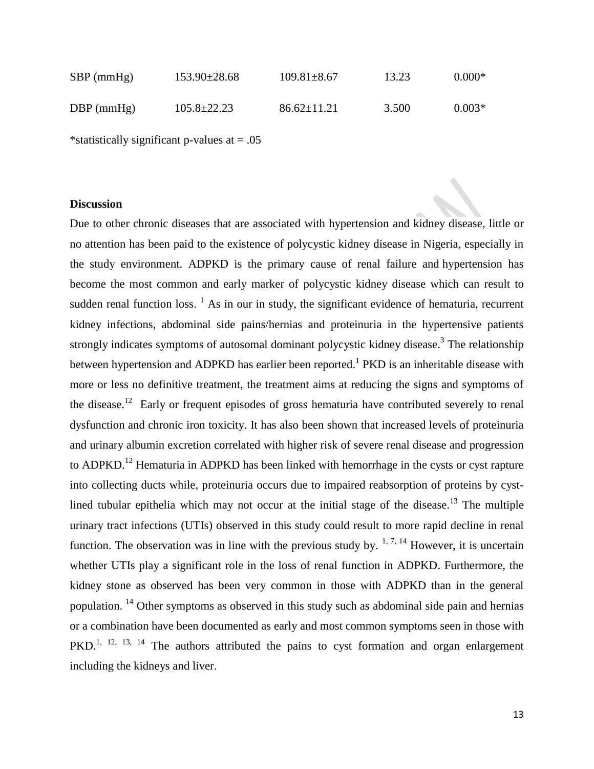| $SBP$ (mmHg) | $153.90\pm28.68$  | $109.81 \pm 8.67$ | 13.23 | $0.000*$ |
|--------------|-------------------|-------------------|-------|----------|
| $DBP$ (mmHg) | $105.8 \pm 22.23$ | $86.62 \pm 11.21$ | 3.500 | $0.003*$ |

#### **Discussion**

Due to other chronic diseases that are associated with hypertension and kidney disease, little or no attention has been paid to the existence of polycystic kidney disease in Nigeria, especially in the study environment. ADPKD is the primary cause of renal failure and hypertension has become the most common and early marker of polycystic kidney disease which can result to sudden renal function loss.  $<sup>1</sup>$  As in our in study, the significant evidence of hematuria, recurrent</sup> kidney infections, abdominal side pains/hernias and proteinuria in the hypertensive patients strongly indicates symptoms of autosomal dominant polycystic kidney disease.<sup>3</sup> The relationship between hypertension and ADPKD has earlier been reported.<sup>1</sup> PKD is an inheritable disease with more or less no definitive treatment, the treatment aims at reducing the signs and symptoms of the disease.<sup>12</sup> Early or frequent episodes of gross hematuria have contributed severely to renal dysfunction and chronic iron toxicity. It has also been shown that increased levels of proteinuria and urinary albumin excretion correlated with higher risk of severe renal disease and progression to ADPKD.<sup>12</sup> Hematuria in ADPKD has been linked with hemorrhage in the cysts or cyst rapture into collecting ducts while, proteinuria occurs due to impaired reabsorption of proteins by cystlined tubular epithelia which may not occur at the initial stage of the disease.<sup>13</sup> The multiple urinary tract infections (UTIs) observed in this study could result to more rapid decline in renal function. The observation was in line with the previous study by.  $1, 7, 14$  However, it is uncertain whether UTIs play a significant role in the loss of renal function in ADPKD. Furthermore, the kidney stone as observed has been very common in those with ADPKD than in the general population. <sup>14</sup> Other symptoms as observed in this study such as abdominal side pain and hernias or a combination have been documented as early and most common symptoms seen in those with  $PKD<sup>1, 12, 13, 14</sup>$  The authors attributed the pains to cyst formation and organ enlargement including the kidneys and liver.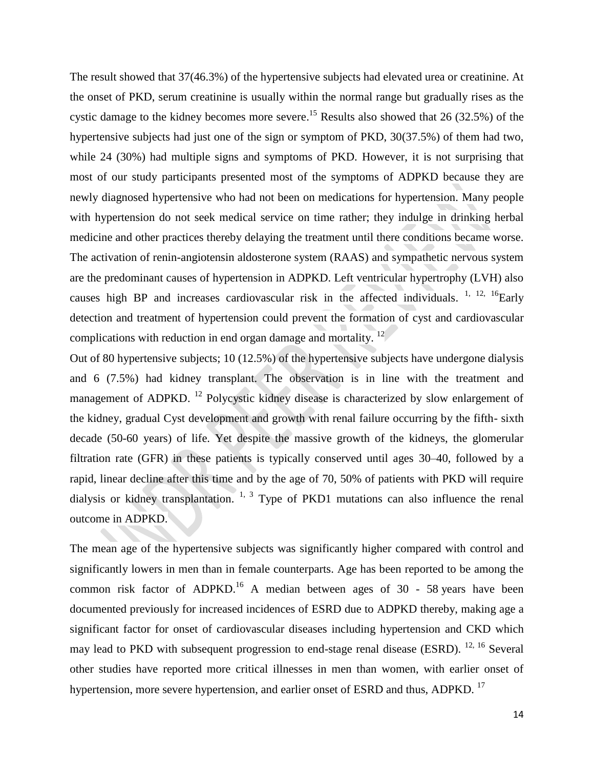The result showed that 37(46.3%) of the hypertensive subjects had elevated urea or creatinine. At the onset of PKD, serum creatinine is usually within the normal range but gradually rises as the cystic damage to the kidney becomes more severe.<sup>15</sup> Results also showed that 26 (32.5%) of the hypertensive subjects had just one of the sign or symptom of PKD, 30(37.5%) of them had two, while 24 (30%) had multiple signs and symptoms of PKD. However, it is not surprising that most of our study participants presented most of the symptoms of ADPKD because they are newly diagnosed hypertensive who had not been on medications for hypertension. Many people with hypertension do not seek medical service on time rather; they indulge in drinking herbal medicine and other practices thereby delaying the treatment until there conditions became worse. The activation of renin-angiotensin aldosterone system (RAAS) and sympathetic nervous system are the predominant causes of hypertension in ADPKD. Left ventricular hypertrophy (LVH) also causes high BP and increases cardiovascular risk in the affected individuals.  $1, 12, 16$ Early detection and treatment of hypertension could prevent the formation of cyst and cardiovascular complications with reduction in end organ damage and mortality.<sup>12</sup>

Out of 80 hypertensive subjects; 10 (12.5%) of the hypertensive subjects have undergone dialysis and 6 (7.5%) had kidney transplant. The observation is in line with the treatment and management of ADPKD. <sup>12</sup> Polycystic kidney disease is characterized by slow enlargement of the kidney, gradual Cyst development and growth with renal failure occurring by the fifth- sixth decade (50-60 years) of life. Yet despite the massive growth of the kidneys, the glomerular filtration rate (GFR) in these patients is typically conserved until ages 30–40, followed by a rapid, linear decline after this time and by the age of 70, 50% of patients with PKD will require dialysis or kidney transplantation.  $1, 3$  Type of PKD1 mutations can also influence the renal outcome in ADPKD.

The mean age of the hypertensive subjects was significantly higher compared with control and significantly lowers in men than in female counterparts. Age has been reported to be among the common risk factor of ADPKD.<sup>16</sup> A median between ages of 30 - 58 years have been documented previously for increased incidences of ESRD due to ADPKD thereby, making age a significant factor for onset of cardiovascular diseases including hypertension and CKD which may lead to PKD with subsequent progression to end-stage renal disease (ESRD). <sup>12, 16</sup> Several other studies have reported more critical illnesses in men than women, with earlier onset of hypertension, more severe hypertension, and earlier onset of ESRD and thus, ADPKD. <sup>17</sup>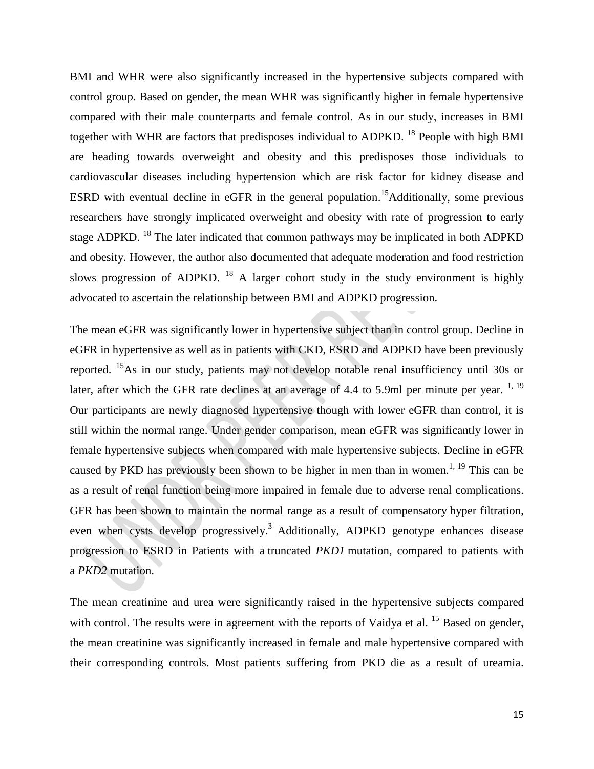BMI and WHR were also significantly increased in the hypertensive subjects compared with control group. Based on gender, the mean WHR was significantly higher in female hypertensive compared with their male counterparts and female control. As in our study, increases in BMI together with WHR are factors that predisposes individual to ADPKD. <sup>18</sup> People with high BMI are heading towards overweight and obesity and this predisposes those individuals to cardiovascular diseases including hypertension which are risk factor for kidney disease and ESRD with eventual decline in eGFR in the general population.<sup>15</sup>Additionally, some previous researchers have strongly implicated overweight and obesity with rate of progression to early stage ADPKD. <sup>18</sup> The later indicated that common pathways may be implicated in both ADPKD and obesity. However, the author also documented that adequate moderation and food restriction slows progression of ADPKD.  $^{18}$  A larger cohort study in the study environment is highly advocated to ascertain the relationship between BMI and ADPKD progression.

The mean eGFR was significantly lower in hypertensive subject than in control group. Decline in eGFR in hypertensive as well as in patients with CKD, ESRD and ADPKD have been previously reported. <sup>15</sup>As in our study, patients may not develop notable renal insufficiency until 30s or later, after which the GFR rate declines at an average of 4.4 to 5.9ml per minute per year.  $^{1, 19}$ Our participants are newly diagnosed hypertensive though with lower eGFR than control, it is still within the normal range. Under gender comparison, mean eGFR was significantly lower in female hypertensive subjects when compared with male hypertensive subjects. Decline in eGFR caused by PKD has previously been shown to be higher in men than in women.<sup>1, 19</sup> This can be as a result of renal function being more impaired in female due to adverse renal complications. GFR has been shown to maintain the normal range as a result of compensatory [hyper filtration,](https://www.sciencedirect.com/topics/medicine-and-dentistry/ultrafiltration) even when cysts develop progressively.<sup>3</sup> Additionally, ADPKD genotype enhances disease progression to ESRD in Patients with a truncated *[PKD1](https://www.sciencedirect.com/topics/medicine-and-dentistry/pkd1)* mutation, compared to patients with a *PKD2* mutation.

The mean creatinine and urea were significantly raised in the hypertensive subjects compared with control. The results were in agreement with the reports of Vaidya et al.  $^{15}$  Based on gender, the mean creatinine was significantly increased in female and male hypertensive compared with their corresponding controls. Most patients suffering from PKD die as a result of ureamia.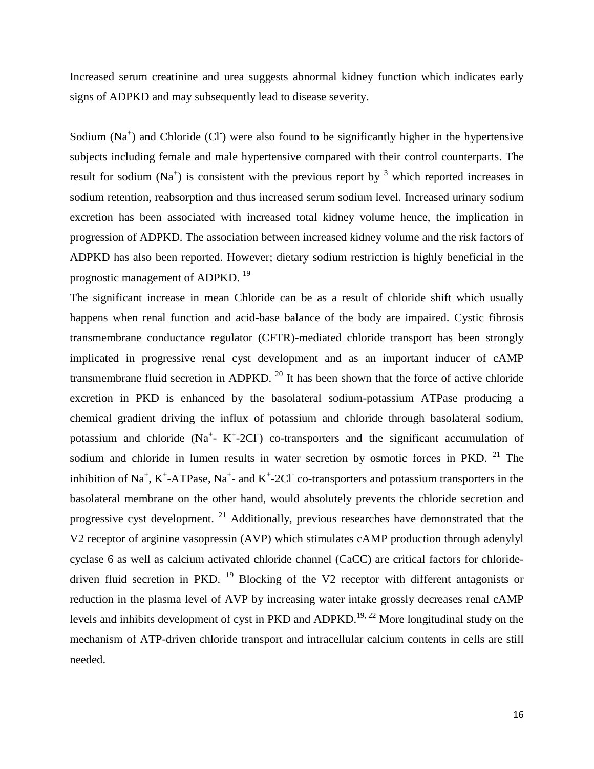Increased serum creatinine and urea suggests abnormal kidney function which indicates early signs of ADPKD and may subsequently lead to disease severity.

Sodium  $(Na^+)$  and Chloride (CI) were also found to be significantly higher in the hypertensive subjects including female and male hypertensive compared with their control counterparts. The result for sodium  $(Na^+)$  is consistent with the previous report by  $\frac{3}{3}$  which reported increases in sodium retention, reabsorption and thus increased serum sodium level. Increased urinary sodium excretion has been associated with increased total kidney volume hence, the implication in progression of ADPKD. The association between increased kidney volume and the risk factors of ADPKD has also been reported. However; dietary sodium restriction is highly beneficial in the prognostic management of ADPKD.<sup>19</sup>

The significant increase in mean Chloride can be as a result of chloride shift which usually happens when renal function and acid-base balance of the body are impaired. Cystic fibrosis transmembrane conductance regulator (CFTR)-mediated chloride transport has been strongly implicated in progressive renal cyst development and as an important inducer of cAMP transmembrane fluid secretion in ADPKD.<sup>20</sup> It has been shown that the force of active chloride excretion in PKD is enhanced by the basolateral sodium-potassium ATPase producing a chemical gradient driving the influx of potassium and chloride through basolateral sodium, potassium and chloride (Na<sup>+</sup>- K<sup>+</sup>-2Cl o-transporters and the significant accumulation of sodium and chloride in lumen results in water secretion by osmotic forces in PKD. <sup>21</sup> The inhibition of Na<sup>+</sup>, K<sup>+</sup>-ATPase, Na<sup>+</sup>- and K<sup>+</sup>-2Cl<sup>-</sup> co-transporters and potassium transporters in the basolateral membrane on the other hand, would absolutely prevents the chloride secretion and progressive cyst development.  $21$  Additionally, previous researches have demonstrated that the V2 receptor of arginine vasopressin (AVP) which stimulates cAMP production through adenylyl cyclase 6 as well as calcium activated chloride channel (CaCC) are critical factors for chloridedriven fluid secretion in PKD.  $^{19}$  Blocking of the V2 receptor with different antagonists or reduction in the plasma level of AVP by increasing water intake grossly decreases renal cAMP levels and inhibits development of cyst in PKD and ADPKD.<sup>19, 22</sup> More longitudinal study on the mechanism of ATP-driven chloride transport and intracellular calcium contents in cells are still needed.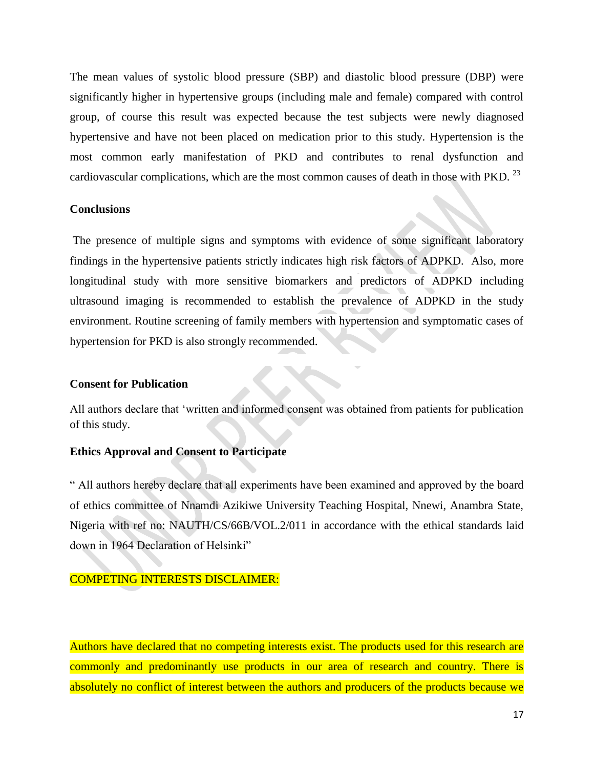The mean values of systolic blood pressure (SBP) and diastolic blood pressure (DBP) were significantly higher in hypertensive groups (including male and female) compared with control group, of course this result was expected because the test subjects were newly diagnosed hypertensive and have not been placed on medication prior to this study. Hypertension is the most common early manifestation of PKD and contributes to renal dysfunction and cardiovascular complications, which are the most common causes of death in those with PKD.<sup>23</sup>

#### **Conclusions**

The presence of multiple signs and symptoms with evidence of some significant laboratory findings in the hypertensive patients strictly indicates high risk factors of ADPKD. Also, more longitudinal study with more sensitive biomarkers and predictors of ADPKD including ultrasound imaging is recommended to establish the prevalence of ADPKD in the study environment. Routine screening of family members with hypertension and symptomatic cases of hypertension for PKD is also strongly recommended.

### **Consent for Publication**

All authors declare that 'written and informed consent was obtained from patients for publication of this study.

### **Ethics Approval and Consent to Participate**

" All authors hereby declare that all experiments have been examined and approved by the board of ethics committee of Nnamdi Azikiwe University Teaching Hospital, Nnewi, Anambra State, Nigeria with ref no: NAUTH/CS/66B/VOL.2/011 in accordance with the ethical standards laid down in 1964 Declaration of Helsinki"

## COMPETING INTERESTS DISCLAIMER:

Authors have declared that no competing interests exist. The products used for this research are commonly and predominantly use products in our area of research and country. There is absolutely no conflict of interest between the authors and producers of the products because we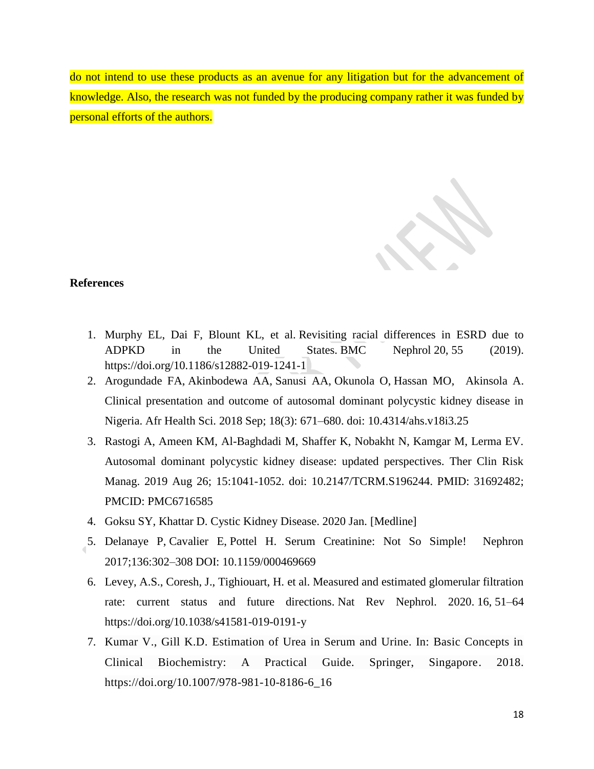do not intend to use these products as an avenue for any litigation but for the advancement of knowledge. Also, the research was not funded by the producing company rather it was funded by personal efforts of the authors.

# **References**

- 1. Murphy EL, Dai F, Blount KL, et al. Revisiting racial differences in ESRD due to ADPKD in the United States. BMC Nephrol 20, 55 (2019). <https://doi.org/10.1186/s12882-019-1241-1>
- 2. [Arogundade](https://www.ncbi.nlm.nih.gov/pubmed/?term=Arogundade%20FA%5BAuthor%5D&cauthor=true&cauthor_uid=30603000) FA, [Akinbodewa](https://www.ncbi.nlm.nih.gov/pubmed/?term=Akinbodewa%20AA%5BAuthor%5D&cauthor=true&cauthor_uid=30603000) AA, [Sanusi](https://www.ncbi.nlm.nih.gov/pubmed/?term=Sanusi%20AA%5BAuthor%5D&cauthor=true&cauthor_uid=30603000) AA, [Okunola](https://www.ncbi.nlm.nih.gov/pubmed/?term=Okunola%20O%5BAuthor%5D&cauthor=true&cauthor_uid=30603000) O, [Hassan](https://www.ncbi.nlm.nih.gov/pubmed/?term=Hassan%20MO%5BAuthor%5D&cauthor=true&cauthor_uid=30603000) MO, [Akinsola](https://www.ncbi.nlm.nih.gov/pubmed/?term=Akinsola%20A%5BAuthor%5D&cauthor=true&cauthor_uid=30603000) A. Clinical presentation and outcome of autosomal dominant polycystic kidney disease in Nigeria. [Afr Health Sci.](https://www.ncbi.nlm.nih.gov/pmc/articles/PMC6307032/) 2018 Sep; 18(3): 671–680. doi: [10.4314/ahs.v18i3.25](https://dx.doi.org/10.4314%2Fahs.v18i3.25)
- 3. Rastogi A, Ameen KM, Al-Baghdadi M, Shaffer K, Nobakht N, Kamgar M, Lerma EV. Autosomal dominant polycystic kidney disease: updated perspectives. Ther Clin Risk Manag. 2019 Aug 26; 15:1041-1052. doi: 10.2147/TCRM.S196244. PMID: 31692482; PMCID: PMC6716585
- 4. Goksu SY, Khattar D. Cystic Kidney Disease. 2020 Jan. [\[Medline\]](http://reference.medscape.com/medline/abstract/32119391)
- 5. Delanaye P, Cavalier E, Pottel H. Serum Creatinine: Not So Simple! Nephron 2017;136:302–308 DOI: 10.1159/000469669
- 6. Levey, A.S., Coresh, J., Tighiouart, H. et al. Measured and estimated glomerular filtration rate: current status and future directions. Nat Rev Nephrol. 2020. 16, 51–64 <https://doi.org/10.1038/s41581-019-0191-y>
- 7. Kumar V., Gill K.D. Estimation of Urea in Serum and Urine. In: Basic Concepts in Clinical Biochemistry: A Practical Guide. Springer, Singapore. 2018. [https://doi.org/10.1007/978-981-10-8186-6\\_16](https://doi.org/10.1007/978-981-10-8186-6_16)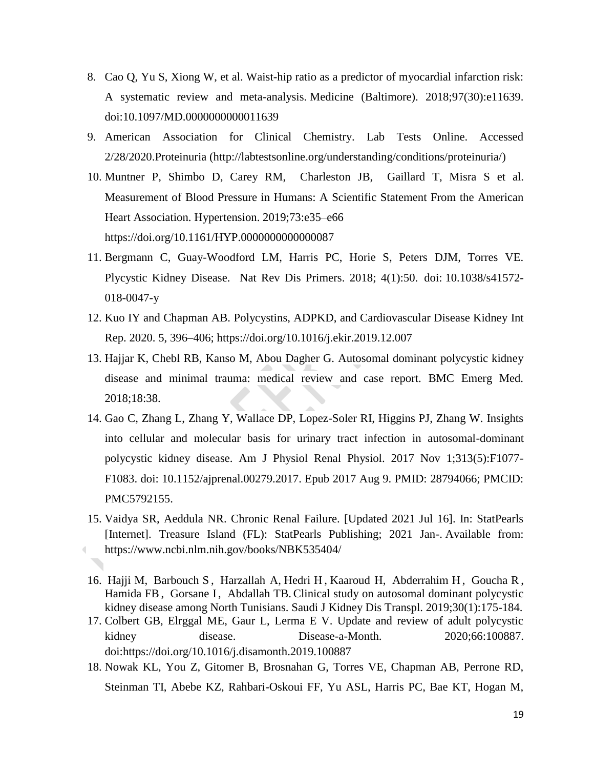- 8. Cao Q, Yu S, Xiong W, et al. [Waist-hip ratio as a predictor of myocardial infarction risk:](https://doi.org/10.1097/MD.0000000000011639)  [A systematic review and meta-analysis.](https://doi.org/10.1097/MD.0000000000011639) Medicine (Baltimore). 2018;97(30):e11639. doi:10.1097/MD.0000000000011639
- 9. American Association for Clinical Chemistry. Lab Tests Online. Accessed 2/28/2020.Proteinuria [\(http://labtestsonline.org/understanding/conditions/proteinuria/\)](http://labtestsonline.org/understanding/conditions/proteinuria/)
- 10. [Muntner](https://www.ahajournals.org/doi/full/10.1161/HYP.0000000000000087) P, [Shimbo](https://www.ahajournals.org/doi/full/10.1161/HYP.0000000000000087) D, [Carey](https://www.ahajournals.org/doi/full/10.1161/HYP.0000000000000087) RM, [Charleston](https://www.ahajournals.org/doi/full/10.1161/HYP.0000000000000087) JB, [Gaillard](https://www.ahajournals.org/doi/full/10.1161/HYP.0000000000000087) T, [Misra](https://www.ahajournals.org/doi/full/10.1161/HYP.0000000000000087) S et al. Measurement of Blood Pressure in Humans: A Scientific Statement From the American Heart Association. Hypertension. 2019;73:e35–e66 <https://doi.org/10.1161/HYP.0000000000000087>
- 11. Bergmann C, Guay-Woodford LM, Harris PC, Horie S, Peters DJM, Torres VE. Plycystic Kidney Disease. Nat Rev Dis Primers. 2018; 4(1):50. doi: 10.1038/s41572- 018-0047-y
- 12. Kuo IY and Chapman AB. Polycystins, ADPKD, and Cardiovascular Disease Kidney Int Rep. 2020. 5, 396–406;<https://doi.org/10.1016/j.ekir.2019.12.007>
- 13. Hajjar K, Chebl RB, Kanso M, Abou Dagher G. Autosomal dominant polycystic kidney disease and minimal trauma: medical review and case report. BMC Emerg Med. 2018;18:38.
- 14. Gao C, Zhang L, Zhang Y, Wallace DP, Lopez-Soler RI, Higgins PJ, Zhang W. Insights into cellular and molecular basis for urinary tract infection in autosomal-dominant polycystic kidney disease. Am J Physiol Renal Physiol. 2017 Nov 1;313(5):F1077- F1083. doi: 10.1152/ajprenal.00279.2017. Epub 2017 Aug 9. PMID: 28794066; PMCID: PMC5792155.
- 15. Vaidya SR, Aeddula NR. Chronic Renal Failure. [Updated 2021 Jul 16]. In: StatPearls [Internet]. Treasure Island (FL): StatPearls Publishing; 2021 Jan-. Available from:  $\blacksquare$ <https://www.ncbi.nlm.nih.gov/books/NBK535404/>
- 16. [Hajji](https://pubmed.ncbi.nlm.nih.gov/?term=Hajji+M&cauthor_id=30804279) M, [Barbouch](https://pubmed.ncbi.nlm.nih.gov/?term=Barbouch+S&cauthor_id=30804279) S, [Harzallah](https://pubmed.ncbi.nlm.nih.gov/?term=Harzallah+A&cauthor_id=30804279) A, [Hedri](https://pubmed.ncbi.nlm.nih.gov/?term=Hedri+H&cauthor_id=30804279) H, [Kaaroud](https://pubmed.ncbi.nlm.nih.gov/?term=Kaaroud+H&cauthor_id=30804279) H, [Abderrahim](https://pubmed.ncbi.nlm.nih.gov/?term=Abderrahim+E&cauthor_id=30804279) H, [Goucha](https://pubmed.ncbi.nlm.nih.gov/?term=Goucha+R&cauthor_id=30804279) R[,](https://pubmed.ncbi.nlm.nih.gov/?term=Hamida+FB&cauthor_id=30804279) [Hamida](https://pubmed.ncbi.nlm.nih.gov/?term=Hamida+FB&cauthor_id=30804279) FB, [Gorsane](https://pubmed.ncbi.nlm.nih.gov/?term=Gorsane+I&cauthor_id=30804279) I, [Abdallah](https://pubmed.ncbi.nlm.nih.gov/?term=Abdallah+TB&cauthor_id=30804279) TB. Clinical study on autosomal dominant polycystic kidney disease among North Tunisians. Saudi J Kidney Dis Transpl. 2019;30(1):175-184.
- 17. Colbert GB, Elrggal ME, Gaur L, Lerma E V. Update and review of adult polycystic kidney disease. Disease-a-Month. 2020;66:100887. doi[:https://doi.org/10.1016/j.disamonth.2019.100887](https://doi.org/10.1016/j.disamonth.2019.100887)
- 18. Nowak KL, You Z, Gitomer B, Brosnahan G, Torres VE, Chapman AB, Perrone RD, Steinman TI, Abebe KZ, Rahbari-Oskoui FF, Yu ASL, Harris PC, Bae KT, Hogan M,